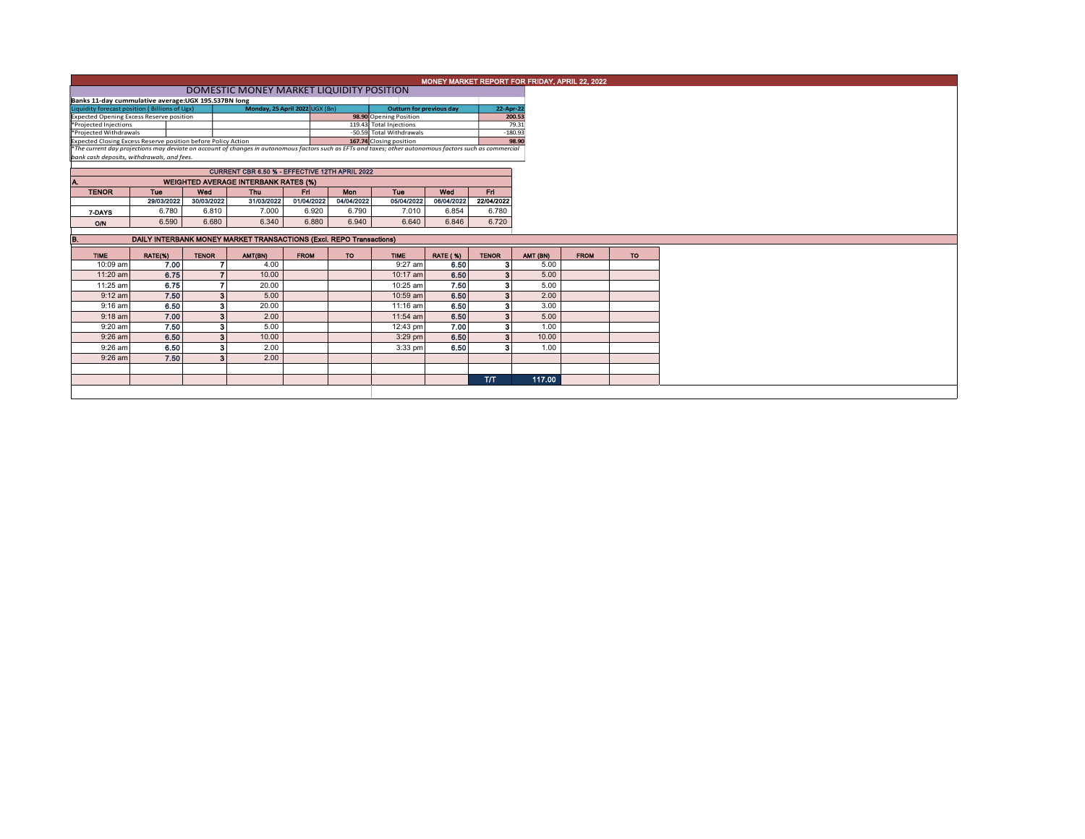|                                                                                         |                                                                                                  |                         |                                                                                                                                                          |             |                                 |                                                     |                 |              |          | MONEY MARKET REPORT FOR FRIDAY, APRIL 22, 2022 |           |
|-----------------------------------------------------------------------------------------|--------------------------------------------------------------------------------------------------|-------------------------|----------------------------------------------------------------------------------------------------------------------------------------------------------|-------------|---------------------------------|-----------------------------------------------------|-----------------|--------------|----------|------------------------------------------------|-----------|
|                                                                                         |                                                                                                  |                         |                                                                                                                                                          |             |                                 |                                                     |                 |              |          |                                                |           |
|                                                                                         | DOMESTIC MONEY MARKET LIQUIDITY POSITION<br>Banks 11-day cummulative average: UGX 195.537BN long |                         |                                                                                                                                                          |             |                                 |                                                     |                 |              |          |                                                |           |
| Liquidity forecast position (Billions of Ugx)<br>Monday, 25 April 2022 UGX (Bn)         |                                                                                                  |                         |                                                                                                                                                          |             | <b>Outturn for previous day</b> |                                                     | 22-Apr-22       |              |          |                                                |           |
| Expected Opening Excess Reserve position                                                |                                                                                                  |                         |                                                                                                                                                          |             | 98.90 Opening Position          |                                                     | 200.53          |              |          |                                                |           |
| *Projected Injections                                                                   |                                                                                                  |                         |                                                                                                                                                          |             | 119.43 Total Injections         |                                                     | 79.31           |              |          |                                                |           |
| *Projected Withdrawals<br>Expected Closing Excess Reserve position before Policy Action |                                                                                                  |                         |                                                                                                                                                          |             |                                 | -50.59 Total Withdrawals<br>167.74 Closing position |                 | $-180.93$    | 98.90    |                                                |           |
|                                                                                         |                                                                                                  |                         | *The current day projections may deviate on account of changes in autonomous factors such as EFTs and taxes; other autonomous factors such as commercial |             |                                 |                                                     |                 |              |          |                                                |           |
| bank cash deposits, withdrawals, and fees.                                              |                                                                                                  |                         |                                                                                                                                                          |             |                                 |                                                     |                 |              |          |                                                |           |
|                                                                                         |                                                                                                  |                         | CURRENT CBR 6.50 % - EFFECTIVE 12TH APRIL 2022                                                                                                           |             |                                 |                                                     |                 |              |          |                                                |           |
|                                                                                         |                                                                                                  |                         |                                                                                                                                                          |             |                                 |                                                     |                 |              |          |                                                |           |
|                                                                                         |                                                                                                  |                         | <b>WEIGHTED AVERAGE INTERBANK RATES (%)</b>                                                                                                              |             |                                 |                                                     |                 |              |          |                                                |           |
| <b>TENOR</b>                                                                            | <b>Tue</b>                                                                                       | Wed                     | <b>Thu</b>                                                                                                                                               | Fri.        | Mon                             | <b>Tue</b>                                          | Wed             | Fri.         |          |                                                |           |
|                                                                                         | 29/03/2022                                                                                       | 30/03/2022              | 31/03/2022                                                                                                                                               | 01/04/2022  | 04/04/2022                      | 05/04/2022                                          | 06/04/2022      | 22/04/2022   |          |                                                |           |
| 7-DAYS                                                                                  | 6.780                                                                                            | 6.810                   | 7.000                                                                                                                                                    | 6.920       | 6.790                           | 7.010                                               | 6.854           | 6.780        |          |                                                |           |
| O/N                                                                                     | 6.590                                                                                            | 6.680                   | 6.340                                                                                                                                                    | 6.880       | 6.940                           | 6.640                                               | 6.846           | 6.720        |          |                                                |           |
| в.                                                                                      |                                                                                                  |                         | DAILY INTERBANK MONEY MARKET TRANSACTIONS (Excl. REPO Transactions)                                                                                      |             |                                 |                                                     |                 |              |          |                                                |           |
|                                                                                         |                                                                                                  |                         |                                                                                                                                                          |             |                                 |                                                     |                 |              |          |                                                |           |
| <b>TIME</b>                                                                             | RATE(%)                                                                                          | <b>TENOR</b>            | AMT(BN)                                                                                                                                                  | <b>FROM</b> | <b>TO</b>                       | <b>TIME</b>                                         | <b>RATE (%)</b> | <b>TENOR</b> | AMT (BN) | <b>FROM</b>                                    | <b>TO</b> |
| 10:09 am                                                                                | 7.00                                                                                             |                         | 4.00                                                                                                                                                     |             |                                 | 9:27 am                                             | 6.50            | -3           | 5.00     |                                                |           |
| 11:20 am                                                                                | 6.75                                                                                             |                         | 10.00                                                                                                                                                    |             |                                 | 10:17 am                                            | 6.50            | -3           | 5.00     |                                                |           |
| 11:25 am                                                                                | 6.75                                                                                             |                         | 20.00                                                                                                                                                    |             |                                 | 10:25 am                                            | 7.50            | 3            | 5.00     |                                                |           |
| $9:12$ am                                                                               | 7.50                                                                                             | $\overline{\mathbf{3}}$ | 5.00                                                                                                                                                     |             |                                 | 10:59 am                                            | 6.50            | -3           | 2.00     |                                                |           |
| $9:16$ am                                                                               | 6.50                                                                                             | 3                       | 20.00                                                                                                                                                    |             |                                 | 11:16 am                                            | 6.50            | 2            | 3.00     |                                                |           |
|                                                                                         |                                                                                                  | 3                       | 2.00                                                                                                                                                     |             |                                 | 11:54 am                                            | 6.50            | 3            | 5.00     |                                                |           |
| $9:18$ am                                                                               | 7.00                                                                                             |                         |                                                                                                                                                          |             |                                 |                                                     | 7.00            | -3           | 1.00     |                                                |           |
| 9:20 am                                                                                 | 7.50                                                                                             | 3                       | 5.00                                                                                                                                                     |             |                                 | 12:43 pm                                            |                 |              |          |                                                |           |
| $9:26$ am                                                                               | 6.50                                                                                             | $\overline{\mathbf{3}}$ | 10.00                                                                                                                                                    |             |                                 | $3:29$ pm                                           | 6.50            | -3           | 10.00    |                                                |           |
| 9:26 am                                                                                 | 6.50                                                                                             | 3                       | 2.00                                                                                                                                                     |             |                                 | 3:33 pm                                             | 6.50            | 2            | 1.00     |                                                |           |
| $9:26$ am                                                                               | 7.50                                                                                             | 3                       | 2.00                                                                                                                                                     |             |                                 |                                                     |                 |              |          |                                                |           |
|                                                                                         |                                                                                                  |                         |                                                                                                                                                          |             |                                 |                                                     |                 |              |          |                                                |           |
|                                                                                         |                                                                                                  |                         |                                                                                                                                                          |             |                                 |                                                     |                 | T/T          | 117.00   |                                                |           |
|                                                                                         |                                                                                                  |                         |                                                                                                                                                          |             |                                 |                                                     |                 |              |          |                                                |           |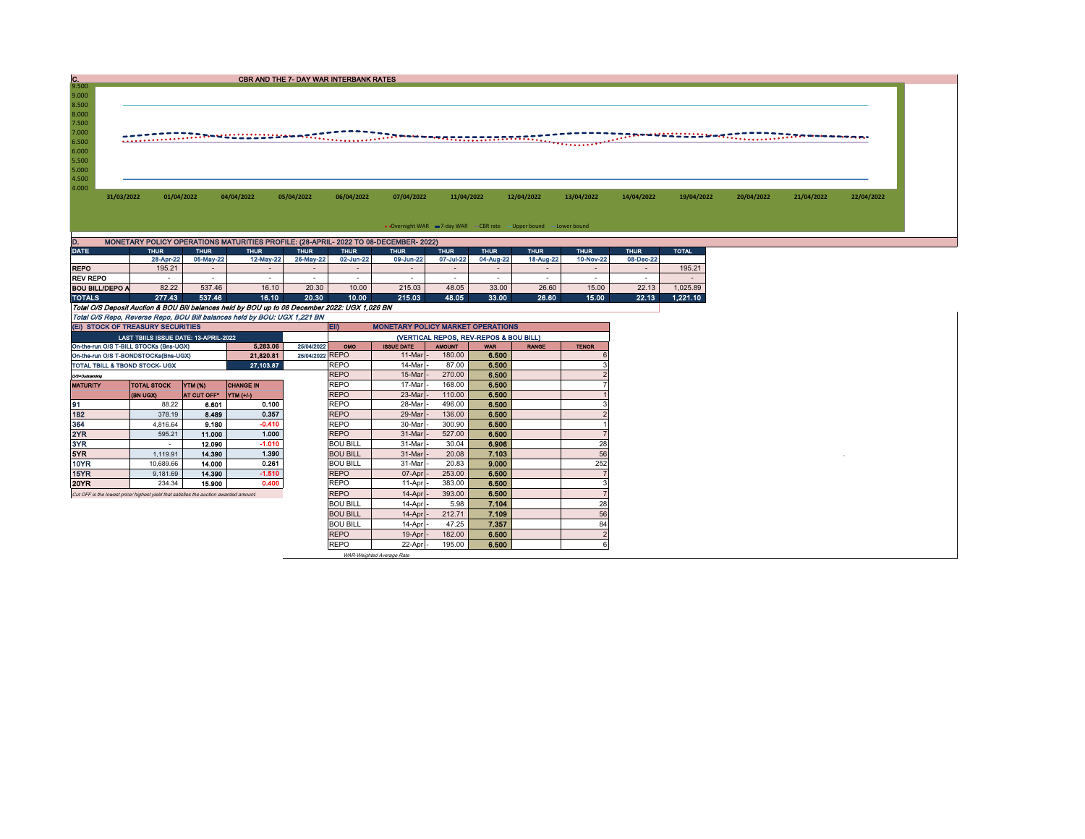| $\frac{C}{9.500}$                                                             |                                                                                                     |             | <b>CBR AND THE 7- DAY WAR INTERBANK RATES</b> |                 |                          |                                          |                 |                                        |                                                                    |              |             |                          |                                                                                                                       |  |  |
|-------------------------------------------------------------------------------|-----------------------------------------------------------------------------------------------------|-------------|-----------------------------------------------|-----------------|--------------------------|------------------------------------------|-----------------|----------------------------------------|--------------------------------------------------------------------|--------------|-------------|--------------------------|-----------------------------------------------------------------------------------------------------------------------|--|--|
| 9.000                                                                         |                                                                                                     |             |                                               |                 |                          |                                          |                 |                                        |                                                                    |              |             |                          |                                                                                                                       |  |  |
| 8.500                                                                         |                                                                                                     |             |                                               |                 |                          |                                          |                 |                                        |                                                                    |              |             |                          |                                                                                                                       |  |  |
| 8.000                                                                         |                                                                                                     |             |                                               |                 |                          |                                          |                 |                                        |                                                                    |              |             |                          |                                                                                                                       |  |  |
| 7.500                                                                         |                                                                                                     |             |                                               |                 |                          |                                          |                 |                                        |                                                                    |              |             |                          |                                                                                                                       |  |  |
| 7.000                                                                         |                                                                                                     |             |                                               |                 |                          |                                          |                 |                                        |                                                                    |              |             |                          | <u> TTTP MANUALLING MATTELES DE MANUALLING MANUALLING MANUALLING MANUALLING MANUALLING MANUALLING MANUALLING MANU</u> |  |  |
| 6.500                                                                         |                                                                                                     |             |                                               |                 |                          |                                          |                 |                                        |                                                                    |              |             |                          |                                                                                                                       |  |  |
| 6.000<br>5.500                                                                |                                                                                                     |             |                                               |                 |                          |                                          |                 |                                        |                                                                    |              |             |                          |                                                                                                                       |  |  |
| 5.000                                                                         |                                                                                                     |             |                                               |                 |                          |                                          |                 |                                        |                                                                    |              |             |                          |                                                                                                                       |  |  |
| 4.500                                                                         |                                                                                                     |             |                                               |                 |                          |                                          |                 |                                        |                                                                    |              |             |                          |                                                                                                                       |  |  |
| 4.000                                                                         |                                                                                                     |             |                                               |                 |                          |                                          |                 |                                        |                                                                    |              |             |                          |                                                                                                                       |  |  |
| 01/04/2022<br>04/04/2022<br>05/04/2022<br>31/03/2022                          |                                                                                                     |             | 06/04/2022<br>07/04/2022                      |                 |                          | 11/04/2022                               | 12/04/2022      | 13/04/2022                             | 14/04/2022                                                         | 19/04/2022   | 20/04/2022  | 21/04/2022               | 22/04/2022                                                                                                            |  |  |
|                                                                               |                                                                                                     |             |                                               |                 |                          |                                          |                 |                                        |                                                                    |              |             |                          |                                                                                                                       |  |  |
|                                                                               |                                                                                                     |             |                                               |                 |                          |                                          |                 |                                        |                                                                    |              |             |                          |                                                                                                                       |  |  |
|                                                                               |                                                                                                     |             |                                               |                 |                          |                                          |                 |                                        |                                                                    |              |             |                          |                                                                                                                       |  |  |
|                                                                               |                                                                                                     |             |                                               |                 |                          |                                          |                 |                                        | • Overnight WAR = 7-day WAR - CBR rate - Upper bound - Lower bound |              |             |                          |                                                                                                                       |  |  |
|                                                                               |                                                                                                     |             |                                               |                 |                          |                                          |                 |                                        |                                                                    |              |             |                          |                                                                                                                       |  |  |
|                                                                               | MONETARY POLICY OPERATIONS MATURITIES PROFILE: (28-APRIL- 2022 TO 08-DECEMBER- 2022)<br><b>THUR</b> | <b>THUR</b> | <b>THUR</b>                                   | <b>THUR</b>     | <b>THUR</b>              | <b>THUR</b>                              | <b>THUR</b>     | <b>THUR</b>                            | <b>THUR</b>                                                        | <b>THUR</b>  | <b>THUR</b> | <b>TOTAL</b>             |                                                                                                                       |  |  |
|                                                                               | 28-Apr-22                                                                                           | 05-May-22   | 12-May-22                                     | 26-May-22       | 02-Jun-22                | 09-Jun-22                                | 07-Jul-22       | 04-Aug-22                              | 18-Aug-22                                                          | 10-Nov-22    | 08-Dec-22   |                          |                                                                                                                       |  |  |
|                                                                               | 195.21                                                                                              | $\sim$      |                                               |                 | $\overline{\phantom{a}}$ |                                          | $\sim$          |                                        |                                                                    |              | $\sim$      | 195.21                   |                                                                                                                       |  |  |
|                                                                               | $\sim$                                                                                              | $\sim$      | $\overline{\phantom{a}}$                      |                 | $\sim$                   | $\overline{\phantom{a}}$                 | $\sim$          | $\sim$                                 | $\sim$                                                             | $\sim$       | $\sim$      | $\overline{\phantom{a}}$ |                                                                                                                       |  |  |
| D.<br><b>DATE</b><br><b>REPO</b><br><b>REV REPO</b><br><b>BOU BILL/DEPO A</b> | 82.22                                                                                               | 537.46      | 16.10                                         | 20.30           | 10.00                    | 215.03                                   | 48.05           | 33.00                                  | 26.60                                                              | 15.00        | 22.13       | 1,025.89                 |                                                                                                                       |  |  |
| <b>TOTALS</b>                                                                 | 277.43                                                                                              | 537.46      | 16.10                                         | 20.30           | 10.00                    | 215.03                                   | 48.05           | 33.00                                  | 26.60                                                              | 15.00        | 22.13       | 1,221.10                 |                                                                                                                       |  |  |
|                                                                               | Total O/S Deposit Auction & BOU Bill balances held by BOU up to 08 December 2022: UGX 1,026 BN      |             |                                               |                 |                          |                                          |                 |                                        |                                                                    |              |             |                          |                                                                                                                       |  |  |
|                                                                               | Total O/S Repo, Reverse Repo, BOU Bill balances held by BOU: UGX 1,221 BN                           |             |                                               |                 |                          |                                          |                 |                                        |                                                                    |              |             |                          |                                                                                                                       |  |  |
|                                                                               | (EI) STOCK OF TREASURY SECURITIES                                                                   |             |                                               |                 | <b>EID</b>               | <b>MONETARY POLICY MARKET OPERATIONS</b> |                 |                                        |                                                                    |              |             |                          |                                                                                                                       |  |  |
|                                                                               | LAST TBIILS ISSUE DATE: 13-APRIL-2022                                                               |             |                                               |                 |                          |                                          |                 | (VERTICAL REPOS, REV-REPOS & BOU BILL) |                                                                    |              |             |                          |                                                                                                                       |  |  |
|                                                                               | On-the-run O/S T-BILL STOCKs (Bns-UGX)                                                              |             | 5.283.06                                      | 25/04/2022      | OMO                      | <b>ISSUE DATE</b>                        | <b>AMOUNT</b>   | <b>WAR</b>                             | <b>RANGE</b>                                                       | <b>TENOR</b> |             |                          |                                                                                                                       |  |  |
|                                                                               | On-the-run O/S T-BONDSTOCKs(Bns-UGX)                                                                |             | 21,820.81<br>27.103.87                        | 25/04/2022 REPO | <b>REPO</b>              | 11-Mar<br>14-Mar                         | 180.00<br>87.00 | 6.500<br>6.500                         |                                                                    |              |             |                          |                                                                                                                       |  |  |

| TOTAL TBILL & TBOND STOCK- UGX                                                        |                    | 27.103.87   | <b>REPO</b>      |                |
|---------------------------------------------------------------------------------------|--------------------|-------------|------------------|----------------|
| Off-Outstanding                                                                       |                    |             |                  | <b>REPO</b>    |
| <b>MATURITY</b>                                                                       | <b>TOTAL STOCK</b> | YTM (%)     | <b>CHANGE IN</b> | <b>REPO</b>    |
|                                                                                       | (BN UGX)           | AT CUT OFF* | YTM (+/-)        | <b>REPO</b>    |
| 91                                                                                    | 88.22              | 6.601       | 0.100            | <b>REPO</b>    |
| 182                                                                                   | 378.19             | 8.489       | 0.357            | <b>REPO</b>    |
| 364                                                                                   | 4.816.64           | 9.180       | $-0.410$         | <b>REPO</b>    |
| 2YR                                                                                   | 595.21             | 11.000      | 1.000            | <b>REPO</b>    |
| 3YR                                                                                   |                    | 12.090      | $-1.010$         | <b>BOU BIL</b> |
| 5YR                                                                                   | 1.119.91           | 14,390      | 1.390            | <b>BOU BIL</b> |
| 10YR                                                                                  | 10.689.66          | 14.000      | 0.261            | <b>BOU BIL</b> |
| 15YR                                                                                  | 9.181.69           | 14.390      | $-1.510$         | <b>REPO</b>    |
| 20YR                                                                                  | 234.34             | 15.900      | 0.400            | <b>REPO</b>    |
| Cut OFF is the lowest price/ highest vield that satisfies the auction awarded amount. |                    |             |                  | <b>REPO</b>    |
|                                                                                       |                    |             |                  |                |

| On-the-run O/S T-BILL STOCKs (Bns-UGX)                                                |                    |                 | 5,283.06         | 25/04/2022 | <b>OMO</b>      | <b>ISSUE DATE</b> | <b>AMOUNT</b> | <b>WAR</b> | <b>RANGE</b> | <b>TENOR</b> |
|---------------------------------------------------------------------------------------|--------------------|-----------------|------------------|------------|-----------------|-------------------|---------------|------------|--------------|--------------|
| On-the-run O/S T-BONDSTOCKs(Bns-UGX)                                                  | 21,820.81          | 25/04/2022 REPO |                  | 11-Mar     | 180.00          | 6.500             |               |            |              |              |
| TOTAL TBILL & TBOND STOCK- UGX                                                        |                    |                 | 27,103.87        |            | <b>REPO</b>     | 14-Mar            | 87.00         | 6.500      |              |              |
| Q/S=Outstanding                                                                       |                    |                 |                  |            | <b>REPO</b>     | 15-Mar            | 270.00        | 6.500      |              |              |
| <b>MATURITY</b>                                                                       | <b>TOTAL STOCK</b> | YTM (%)         | <b>CHANGE IN</b> |            | <b>REPO</b>     | 17-Marl           | 168.00        | 6.500      |              |              |
|                                                                                       | <b>(BN UGX)</b>    | AT CUT OFF"     | <b>YTM</b> (+/-) |            | <b>REPO</b>     | 23-Mar            | 110.00        | 6,500      |              |              |
| 91                                                                                    | 88.22              | 6.601           | 0.100            |            | <b>REPO</b>     | 28-Mar            | 496.00        | 6.500      |              |              |
| 182                                                                                   | 378.19             | 8.489           | 0.357            |            | <b>REPO</b>     | 29-Mar            | 136.00        | 6.500      |              |              |
| 364                                                                                   | 4.816.64           | 9.180           | $-0.410$         |            | <b>REPO</b>     | 30-Mar            | 300.90        | 6.500      |              |              |
| 2YR                                                                                   | 595.21             | 11.000          | 1.000            |            | <b>REPO</b>     | 31-Mar            | 527.00        | 6.500      |              |              |
| 3YR.                                                                                  | $\sim$             | 12.090          | $-1.010$         |            | <b>BOU BILL</b> | 31-Mar            | 30.04         | 6.906      |              | 28           |
| 5YR.                                                                                  | 1.119.91           | 14,390          | 1.390            |            | <b>BOU BILL</b> | 31-Mar            | 20.08         | 7.103      |              | 56           |
| 10YR                                                                                  | 10,689.66          | 14.000          | 0.261            |            | <b>BOU BILL</b> | 31-Marl           | 20.83         | 9.000      |              | 252          |
| <b>15YR</b>                                                                           | 9.181.69           | 14,390          | $-1.510$         |            | <b>REPO</b>     | 07-Apr            | 253.00        | 6.500      |              |              |
| 20YR                                                                                  | 234.34             | 15.900          | 0.400            |            | <b>REPO</b>     | 11-Apr            | 383.00        | 6.500      |              |              |
| Cut OFF is the lowest price/ highest yield that satisfies the auction awarded amount. |                    |                 |                  |            | <b>REPO</b>     | 14-Apr            | 393.00        | 6.500      |              |              |
|                                                                                       |                    |                 |                  |            | <b>BOU BILL</b> | 14-Apr            | 5.98          | 7.104      |              | 28           |
|                                                                                       |                    |                 |                  |            | <b>BOU BILL</b> | $14-Apr$          | 212.71        | 7.109      |              | 56           |
|                                                                                       |                    |                 |                  |            | <b>BOU BILL</b> | 14-Apr            | 47.25         | 7.357      |              | 84           |
|                                                                                       |                    |                 |                  |            | <b>REPO</b>     | $19-Apr$          | 182.00        | 6.500      |              |              |
|                                                                                       |                    |                 |                  |            | <b>REPO</b>     | $22$ -Apr $-$     | 195.00        | 6.500      |              | 6            |

WAR-Weighted Average Rate